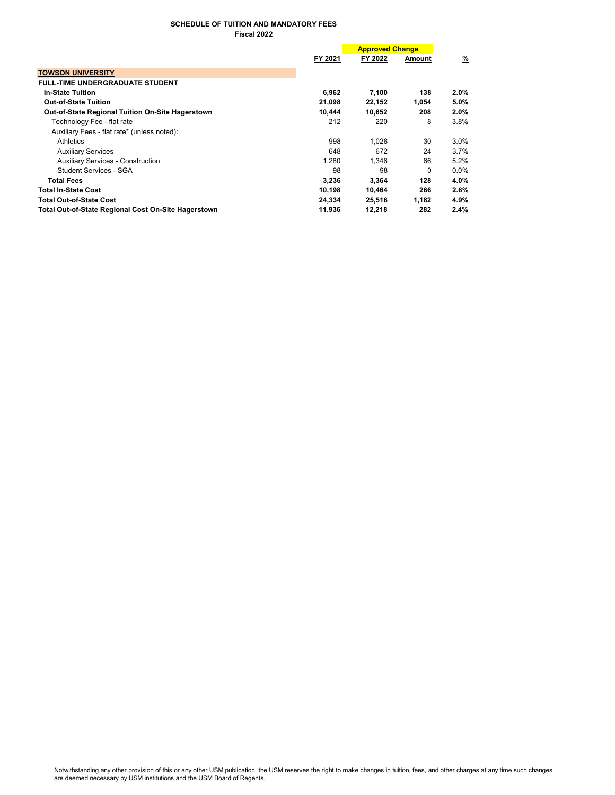## SCHEDULE OF TUITION AND MANDATORY FEES Fiscal 2022

|                                                            | <b>Approved Change</b> |         |                |               |
|------------------------------------------------------------|------------------------|---------|----------------|---------------|
|                                                            | FY 2021                | FY 2022 | Amount         | $\frac{9}{6}$ |
| <b>TOWSON UNIVERSITY</b>                                   |                        |         |                |               |
| <b>FULL-TIME UNDERGRADUATE STUDENT</b>                     |                        |         |                |               |
| <b>In-State Tuition</b>                                    | 6,962                  | 7,100   | 138            | 2.0%          |
| <b>Out-of-State Tuition</b>                                | 21,098                 | 22,152  | 1,054          | 5.0%          |
| <b>Out-of-State Regional Tuition On-Site Hagerstown</b>    | 10.444                 | 10,652  | 208            | 2.0%          |
| Technology Fee - flat rate                                 | 212                    | 220     | 8              | 3.8%          |
| Auxiliary Fees - flat rate* (unless noted):                |                        |         |                |               |
| Athletics                                                  | 998                    | 1.028   | 30             | 3.0%          |
| <b>Auxiliary Services</b>                                  | 648                    | 672     | 24             | 3.7%          |
| <b>Auxiliary Services - Construction</b>                   | 1.280                  | 1.346   | 66             | 5.2%          |
| Student Services - SGA                                     | 98                     | 98      | $\overline{0}$ | 0.0%          |
| <b>Total Fees</b>                                          | 3,236                  | 3,364   | 128            | 4.0%          |
| <b>Total In-State Cost</b>                                 | 10,198                 | 10,464  | 266            | 2.6%          |
| <b>Total Out-of-State Cost</b>                             | 24,334                 | 25,516  | 1,182          | 4.9%          |
| <b>Total Out-of-State Regional Cost On-Site Hagerstown</b> | 11,936                 | 12,218  | 282            | 2.4%          |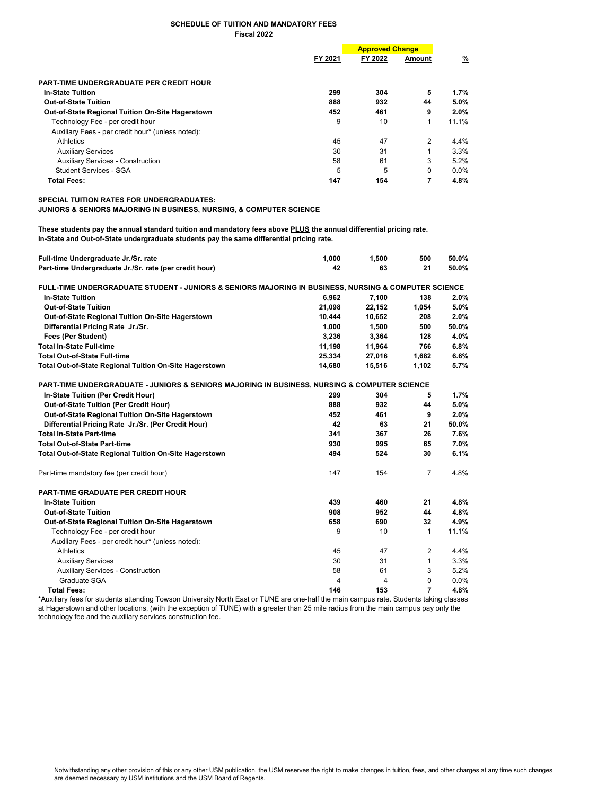## SCHEDULE OF TUITION AND MANDATORY FEES Fiscal 2022

|                                                         |                | <b>Approved Change</b> |                |          |
|---------------------------------------------------------|----------------|------------------------|----------------|----------|
|                                                         | FY 2021        | FY 2022                | Amount         | <u>%</u> |
| PART-TIME UNDERGRADUATE PER CREDIT HOUR                 |                |                        |                |          |
| <b>In-State Tuition</b>                                 | 299            | 304                    | 5              | $1.7\%$  |
| <b>Out-of-State Tuition</b>                             | 888            | 932                    | 44             | $5.0\%$  |
| <b>Out-of-State Regional Tuition On-Site Hagerstown</b> | 452            | 461                    | 9              | $2.0\%$  |
| Technology Fee - per credit hour                        | 9              | 10                     | 1              | 11.1%    |
| Auxiliary Fees - per credit hour* (unless noted):       |                |                        |                |          |
| Athletics                                               | 45             | 47                     | $\overline{2}$ | $4.4\%$  |
| <b>Auxiliary Services</b>                               | 30             | 31                     |                | 3.3%     |
| <b>Auxiliary Services - Construction</b>                | 58             | 61                     | 3              | $5.2\%$  |
| Student Services - SGA                                  | $\overline{5}$ | $\overline{5}$         | <u>0</u>       | $0.0\%$  |
| <b>Total Fees:</b>                                      | 147            | 154                    | 7              | 4.8%     |

SPECIAL TUITION RATES FOR UNDERGRADUATES:

JUNIORS & SENIORS MAJORING IN BUSINESS, NURSING, & COMPUTER SCIENCE

These students pay the annual standard tuition and mandatory fees above PLUS the annual differential pricing rate. In-State and Out-of-State undergraduate students pay the same differential pricing rate.

| Full-time Undergraduate Jr./Sr. rate                                                                 | 1,000  | 1,500          | 500            | 50.0%   |
|------------------------------------------------------------------------------------------------------|--------|----------------|----------------|---------|
| Part-time Undergraduate Jr./Sr. rate (per credit hour)                                               | 42     | 63             | 21             | 50.0%   |
| FULL-TIME UNDERGRADUATE STUDENT - JUNIORS & SENIORS MAJORING IN BUSINESS, NURSING & COMPUTER SCIENCE |        |                |                |         |
| <b>In-State Tuition</b>                                                                              | 6.962  | 7,100          | 138            | 2.0%    |
| <b>Out-of-State Tuition</b>                                                                          | 21,098 | 22,152         | 1,054          | 5.0%    |
| Out-of-State Regional Tuition On-Site Hagerstown                                                     | 10,444 | 10,652         | 208            | 2.0%    |
| Differential Pricing Rate Jr./Sr.                                                                    | 1,000  | 1,500          | 500            | 50.0%   |
| <b>Fees (Per Student)</b>                                                                            | 3,236  | 3,364          | 128            | 4.0%    |
| <b>Total In-State Full-time</b>                                                                      | 11,198 | 11,964         | 766            | 6.8%    |
| <b>Total Out-of-State Full-time</b>                                                                  | 25,334 | 27,016         | 1,682          | 6.6%    |
| Total Out-of-State Regional Tuition On-Site Hagerstown                                               | 14,680 | 15,516         | 1,102          | 5.7%    |
| PART-TIME UNDERGRADUATE - JUNIORS & SENIORS MAJORING IN BUSINESS, NURSING & COMPUTER SCIENCE         |        |                |                |         |
| In-State Tuition (Per Credit Hour)                                                                   | 299    | 304            | 5              | 1.7%    |
| <b>Out-of-State Tuition (Per Credit Hour)</b>                                                        | 888    | 932            | 44             | 5.0%    |
| Out-of-State Regional Tuition On-Site Hagerstown                                                     | 452    | 461            | 9              | 2.0%    |
| Differential Pricing Rate Jr./Sr. (Per Credit Hour)                                                  | 42     | 63             | 21             | 50.0%   |
| <b>Total In-State Part-time</b>                                                                      | 341    | 367            | 26             | 7.6%    |
| <b>Total Out-of-State Part-time</b>                                                                  | 930    | 995            | 65             | 7.0%    |
| <b>Total Out-of-State Regional Tuition On-Site Hagerstown</b>                                        | 494    | 524            | 30             | 6.1%    |
| Part-time mandatory fee (per credit hour)                                                            | 147    | 154            | $\overline{7}$ | 4.8%    |
| <b>PART-TIME GRADUATE PER CREDIT HOUR</b>                                                            |        |                |                |         |
| <b>In-State Tuition</b>                                                                              | 439    | 460            | 21             | 4.8%    |
| <b>Out-of-State Tuition</b>                                                                          | 908    | 952            | 44             | 4.8%    |
| Out-of-State Regional Tuition On-Site Hagerstown                                                     | 658    | 690            | 32             | 4.9%    |
| Technology Fee - per credit hour                                                                     | 9      | 10             | $\mathbf{1}$   | 11.1%   |
| Auxiliary Fees - per credit hour* (unless noted):                                                    |        |                |                |         |
| <b>Athletics</b>                                                                                     | 45     | 47             | $\overline{2}$ | 4.4%    |
| <b>Auxiliary Services</b>                                                                            | 30     | 31             | $\mathbf{1}$   | 3.3%    |
| <b>Auxiliary Services - Construction</b>                                                             | 58     | 61             | 3              | 5.2%    |
| Graduate SGA                                                                                         | 4      | $\overline{4}$ | $\Omega$       | $0.0\%$ |
| <b>Total Fees:</b>                                                                                   | 146    | 153            | 7              | 4.8%    |

\*Auxiliary fees for students attending Towson University North East or TUNE are one-half the main campus rate. Students taking classes at Hagerstown and other locations, (with the exception of TUNE) with a greater than 25 mile radius from the main campus pay only the technology fee and the auxiliary services construction fee.